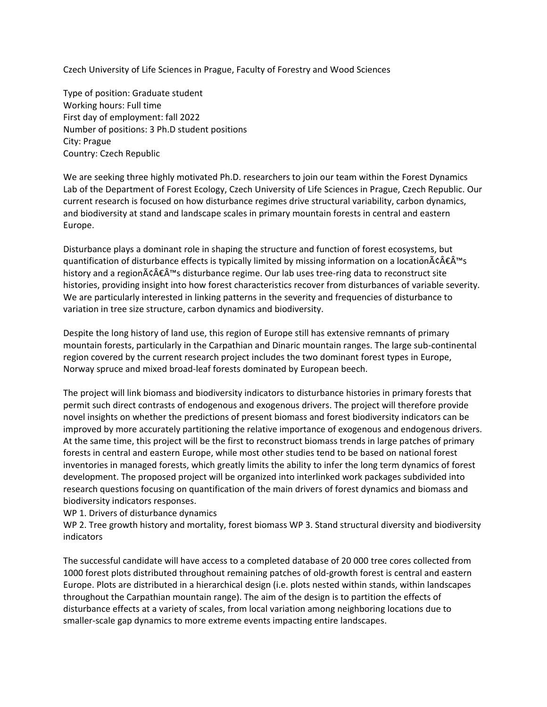Czech University of Life Sciences in Prague, Faculty of Forestry and Wood Sciences

Type of position: Graduate student Working hours: Full time First day of employment: fall 2022 Number of positions: 3 Ph.D student positions City: Prague Country: Czech Republic

We are seeking three highly motivated Ph.D. researchers to join our team within the Forest Dynamics Lab of the Department of Forest Ecology, Czech University of Life Sciences in Prague, Czech Republic. Our current research is focused on how disturbance regimes drive structural variability, carbon dynamics, and biodiversity at stand and landscape scales in primary mountain forests in central and eastern Europe.

Disturbance plays a dominant role in shaping the structure and function of forest ecosystems, but quantification of disturbance effects is typically limited by missing information on a location $\tilde{A}\epsilon \hat{A}\epsilon \hat{A}^{\text{m}}s$ history and a regionâ€Â™s disturbance regime. Our lab uses tree-ring data to reconstruct site histories, providing insight into how forest characteristics recover from disturbances of variable severity. We are particularly interested in linking patterns in the severity and frequencies of disturbance to variation in tree size structure, carbon dynamics and biodiversity.

Despite the long history of land use, this region of Europe still has extensive remnants of primary mountain forests, particularly in the Carpathian and Dinaric mountain ranges. The large sub-continental region covered by the current research project includes the two dominant forest types in Europe, Norway spruce and mixed broad-leaf forests dominated by European beech.

The project will link biomass and biodiversity indicators to disturbance histories in primary forests that permit such direct contrasts of endogenous and exogenous drivers. The project will therefore provide novel insights on whether the predictions of present biomass and forest biodiversity indicators can be improved by more accurately partitioning the relative importance of exogenous and endogenous drivers. At the same time, this project will be the first to reconstruct biomass trends in large patches of primary forests in central and eastern Europe, while most other studies tend to be based on national forest inventories in managed forests, which greatly limits the ability to infer the long term dynamics of forest development. The proposed project will be organized into interlinked work packages subdivided into research questions focusing on quantification of the main drivers of forest dynamics and biomass and biodiversity indicators responses.

WP 1. Drivers of disturbance dynamics

WP 2. Tree growth history and mortality, forest biomass WP 3. Stand structural diversity and biodiversity indicators

The successful candidate will have access to a completed database of 20 000 tree cores collected from 1000 forest plots distributed throughout remaining patches of old-growth forest is central and eastern Europe. Plots are distributed in a hierarchical design (i.e. plots nested within stands, within landscapes throughout the Carpathian mountain range). The aim of the design is to partition the effects of disturbance effects at a variety of scales, from local variation among neighboring locations due to smaller-scale gap dynamics to more extreme events impacting entire landscapes.